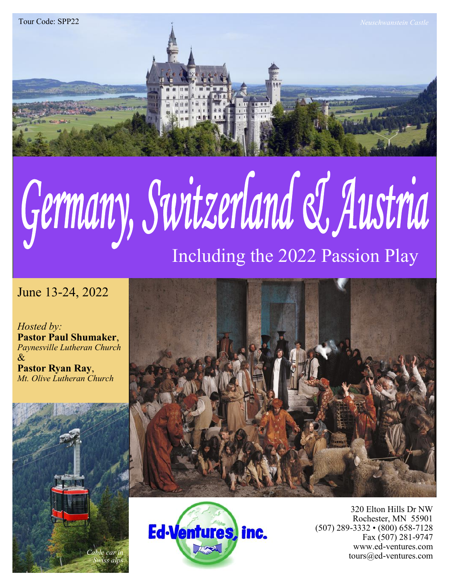

# Germany, Switzerland & Austria Including the 2022 Passion Play

# June 13-24, 2022

*Hosted by:* **Pastor Paul Shumaker**, *Paynesville Lutheran Church* & **Pastor Ryan Ray**, *Mt. Olive Lutheran Church*







320 Elton Hills Dr NW Rochester, MN 55901 (507) 289-3332 • (800) 658-7128 Fax (507) 281-9747 www.ed-ventures.com tours@ed-ventures.com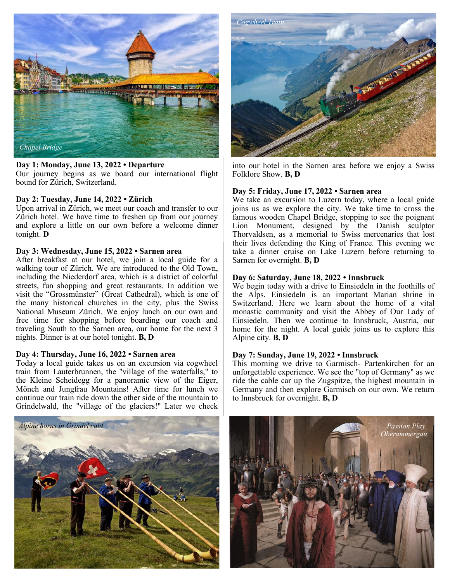

#### **Day 1: Monday, June 13, 2022 • Departure**

Our journey begins as we board our international flight bound for Zürich, Switzerland.

## **Day 2: Tuesday, June 14, 2022 • Zürich**

Upon arrival in Zürich, we meet our coach and transfer to our Zürich hotel. We have time to freshen up from our journey and explore a little on our own before a welcome dinner tonight. **D**

#### **Day 3: Wednesday, June 15, 2022 • Sarnen area**

After breakfast at our hotel, we join a local guide for a walking tour of Zürich. We are introduced to the Old Town, including the Niederdorf area, which is a district of colorful streets, fun shopping and great restaurants. In addition we visit the "Grossmünster" (Great Cathedral), which is one of the many historical churches in the city, plus the Swiss National Museum Zürich. We enjoy lunch on our own and free time for shopping before boarding our coach and traveling South to the Sarnen area, our home for the next 3 nights. Dinner is at our hotel tonight. **B, D**

#### **Day 4: Thursday, June 16, 2022 • Sarnen area**

Today a local guide takes us on an excursion via cogwheel train from Lauterbrunnen, the "village of the waterfalls," to the Kleine Scheidegg for a panoramic view of the Eiger, Mönch and Jungfrau Mountains! After time for lunch we continue our train ride down the other side of the mountain to Grindelwald, the "village of the glaciers!" Later we check



into our hotel in the Sarnen area before we enjoy a Swiss Folklore Show. **B, D**

## **Day 5: Friday, June 17, 2022 • Sarnen area**

We take an excursion to Luzern today, where a local guide joins us as we explore the city. We take time to cross the famous wooden Chapel Bridge, stopping to see the poignant Lion Monument, designed by the Danish sculptor Thorvaldsen, as a memorial to Swiss mercenaries that lost their lives defending the King of France. This evening we take a dinner cruise on Lake Luzern before returning to Sarnen for overnight. **B, D**

## **Day 6: Saturday, June 18, 2022 • Innsbruck**

We begin today with a drive to Einsiedeln in the foothills of the Alps. Einsiedeln is an important Marian shrine in Switzerland. Here we learn about the home of a vital monastic community and visit the Abbey of Our Lady of Einsiedeln. Then we continue to Innsbruck, Austria, our home for the night. A local guide joins us to explore this Alpine city. **B, D**

#### **Day 7: Sunday, June 19, 2022 • Innsbruck**

This morning we drive to Garmisch- Partenkirchen for an unforgettable experience. We see the "top of Germany" as we ride the cable car up the Zugspitze, the highest mountain in Germany and then explore Garmisch on our own. We return to Innsbruck for overnight. **B, D**



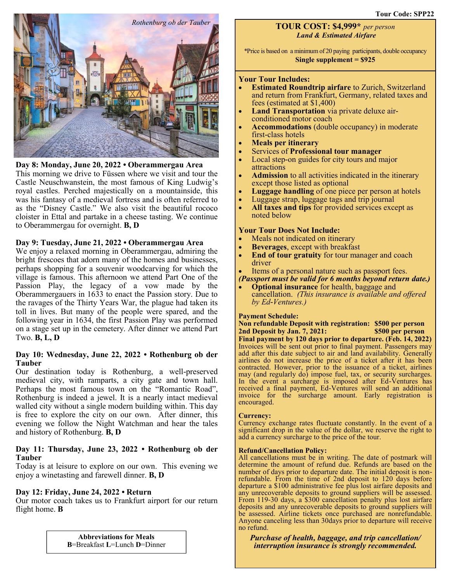

#### **Day 8: Monday, June 20, 2022 • Oberammergau Area**

This morning we drive to Füssen where we visit and tour the Castle Neuschwanstein, the most famous of King Ludwig's royal castles. Perched majestically on a mountainside, this was his fantasy of a medieval fortress and is often referred to as the "Disney Castle." We also visit the beautiful rococo cloister in Ettal and partake in a cheese tasting. We continue to Oberammergau for overnight. **B, D**

## **Day 9: Tuesday, June 21, 2022 • Oberammergau Area**

We enjoy a relaxed morning in Oberammergau, admiring the bright frescoes that adorn many of the homes and businesses, perhaps shopping for a souvenir woodcarving for which the village is famous. This afternoon we attend Part One of the Passion Play, the legacy of a vow made by the Oberammergauers in 1633 to enact the Passion story. Due to the ravages of the Thirty Years War, the plague had taken its toll in lives. But many of the people were spared, and the following year in 1634, the first Passion Play was performed on a stage set up in the cemetery. After dinner we attend Part Two. **B, L, D**

#### **Day 10: Wednesday, June 22, 2022 • Rothenburg ob der Tauber**

Our destination today is Rothenburg, a well-preserved medieval city, with ramparts, a city gate and town hall. Perhaps the most famous town on the "Romantic Road", Rothenburg is indeed a jewel. It is a nearly intact medieval walled city without a single modern building within. This day is free to explore the city on our own. After dinner, this evening we follow the Night Watchman and hear the tales and history of Rothenburg. **B, D**

## **Day 11: Thursday, June 23, 2022 • Rothenburg ob der Tauber**

Today is at leisure to explore on our own. This evening we enjoy a winetasting and farewell dinner. **B, D**

#### **Day 12: Friday, June 24, 2022 • Return**

Our motor coach takes us to Frankfurt airport for our return flight home. **B** 

> **Abbreviations for Meals B**=Breakfast **L**=Lunch **D**=Dinner

# **TOUR COST: \$4,999\*** *per person Land & Estimated Airfare*

\*Price is based on a minimum of 20 paying participants, double occupancy **Single supplement = \$925**

#### **Your Tour Includes:**

- **Estimated Roundtrip airfare** to Zurich, Switzerland and return from Frankfurt, Germany, related taxes and fees (estimated at \$1,400)
- **Land Transportation** via private deluxe airconditioned motor coach
- **Accommodations** (double occupancy) in moderate first-class hotels
- **Meals per itinerary**
- Services of **Professional tour manager**
- Local step-on guides for city tours and major attractions
- Admission to all activities indicated in the itinerary except those listed as optional
- **Luggage handling** of one piece per person at hotels
- Luggage strap, luggage tags and trip journal
- **All taxes and tips** for provided services except as noted below

# **Your Tour Does Not Include:**

- Meals not indicated on itinerary
- **Beverages**, except with breakfast
- **End of tour gratuity** for tour manager and coach driver
- Items of a personal nature such as passport fees.
	- *(Passport must be valid for 6 months beyond return date.)*
	- **Optional insurance** for health, baggage and cancellation. *(This insurance is available and offered by Ed-Ventures.)*

#### **Payment Schedule:**

**Non refundable Deposit with registration: \$500 per person 2nd Deposit by Jan. 7, 2021: \$500 per person Final payment by 120 days prior to departure. (Feb. 14, 2022)** Invoices will be sent out prior to final payment. Passengers may add after this date subject to air and land availability. Generally airlines do not increase the price of a ticket after it has been contracted. However, prior to the issuance of a ticket, airlines may (and regularly do) impose fuel, tax, or security surcharges. In the event a surcharge is imposed after Ed-Ventures has received a final payment, Ed-Ventures will send an additional invoice for the surcharge amount. Early registration is encouraged.

#### **Currency:**

Currency exchange rates fluctuate constantly. In the event of a significant drop in the value of the dollar, we reserve the right to add a currency surcharge to the price of the tour.

#### **Refund/Cancellation Policy:**

All cancellations must be in writing. The date of postmark will determine the amount of refund due. Refunds are based on the number of days prior to departure date. The initial deposit is nonrefundable. From the time of 2nd deposit to 120 days before departure a \$100 administrative fee plus lost airfare deposits and any unrecoverable deposits to ground suppliers will be assessed. From 119-30 days, a \$300 cancellation penalty plus lost airfare deposits and any unrecoverable deposits to ground suppliers will be assessed. Airline tickets once purchased are nonrefundable. Anyone canceling less than 30days prior to departure will receive no refund.

#### *Purchase of health, baggage, and trip cancellation/ interruption insurance is strongly recommended.*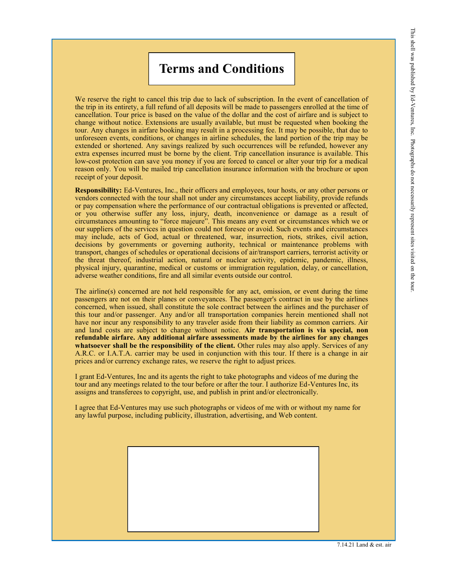# **Terms and Conditions**

We reserve the right to cancel this trip due to lack of subscription. In the event of cancellation of the trip in its entirety, a full refund of all deposits will be made to passengers enrolled at the time of cancellation. Tour price is based on the value of the dollar and the cost of airfare and is subject to change without notice. Extensions are usually available, but must be requested when booking the tour. Any changes in airfare booking may result in a processing fee. It may be possible, that due to unforeseen events, conditions, or changes in airline schedules, the land portion of the trip may be extended or shortened. Any savings realized by such occurrences will be refunded, however any extra expenses incurred must be borne by the client. Trip cancellation insurance is available. This low-cost protection can save you money if you are forced to cancel or alter your trip for a medical reason only. You will be mailed trip cancellation insurance information with the brochure or upon receipt of your deposit.

**Responsibility:** Ed-Ventures, Inc., their officers and employees, tour hosts, or any other persons or vendors connected with the tour shall not under any circumstances accept liability, provide refunds or pay compensation where the performance of our contractual obligations is prevented or affected, or you otherwise suffer any loss, injury, death, inconvenience or damage as a result of circumstances amounting to "force majeure". This means any event or circumstances which we or our suppliers of the services in question could not foresee or avoid. Such events and circumstances may include, acts of God, actual or threatened, war, insurrection, riots, strikes, civil action, decisions by governments or governing authority, technical or maintenance problems with transport, changes of schedules or operational decisions of air/transport carriers, terrorist activity or the threat thereof, industrial action, natural or nuclear activity, epidemic, pandemic, illness, physical injury, quarantine, medical or customs or immigration regulation, delay, or cancellation, adverse weather conditions, fire and all similar events outside our control.

The airline(s) concerned are not held responsible for any act, omission, or event during the time passengers are not on their planes or conveyances. The passenger's contract in use by the airlines concerned, when issued, shall constitute the sole contract between the airlines and the purchaser of this tour and/or passenger. Any and/or all transportation companies herein mentioned shall not have nor incur any responsibility to any traveler aside from their liability as common carriers. Air and land costs are subject to change without notice. **Air transportation is via special, non refundable airfare. Any additional airfare assessments made by the airlines for any changes whatsoever shall be the responsibility of the client.** Other rules may also apply. Services of any A.R.C. or I.A.T.A. carrier may be used in conjunction with this tour. If there is a change in air prices and/or currency exchange rates, we reserve the right to adjust prices.

I grant Ed-Ventures, Inc and its agents the right to take photographs and videos of me during the tour and any meetings related to the tour before or after the tour. I authorize Ed-Ventures Inc, its assigns and transferees to copyright, use, and publish in print and/or electronically.

I agree that Ed-Ventures may use such photographs or videos of me with or without my name for any lawful purpose, including publicity, illustration, advertising, and Web content.

<sup>7.14.21</sup> Land & est. air